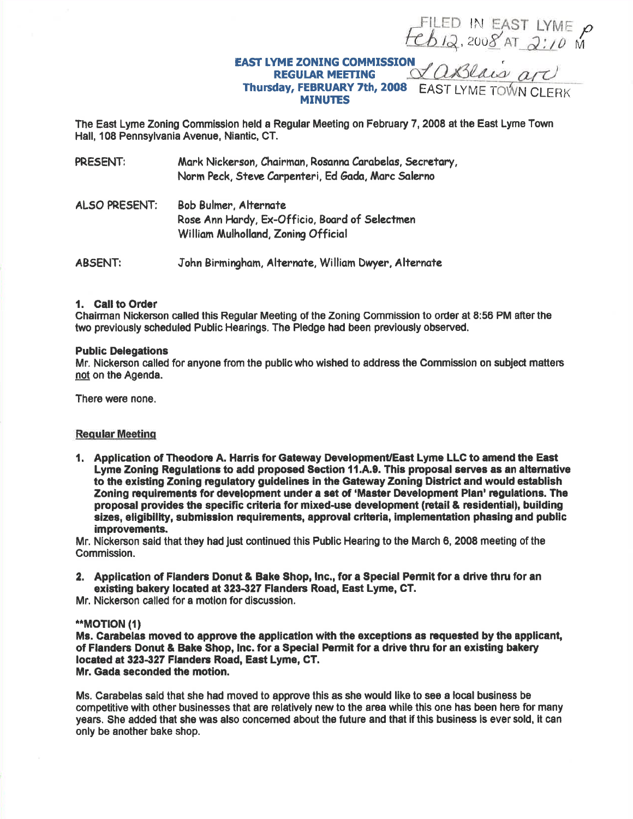# FILED IN EAST LYME P EAST LYME ZONING COMMISSION<br>PEGILLAR MEETING LOSLAUS art Thursday, FEBRUARY 7th, 2008 EAST LYME TOWN CLERK **MINUTES**

The East Lyme Zoning Commission held a Regular Meeting on February 7, 2008 at the East Lyme Town Hall, 108 Pennsylvania Avenue, Niantic, CT.

| PRESENT:       | Mark Nickerson, Chairman, Rosanna Carabelas, Secretary,<br>Norm Peck, Steve Carpenteri, Ed Gada, Marc Salerno  |
|----------------|----------------------------------------------------------------------------------------------------------------|
| ALSO PRESENT:  | Bob Bulmer, Alternate<br>Rose Ann Hardy, Ex-Officio, Board of Selectmen<br>William Mulholland, Zoning Official |
| <b>ABSENT:</b> | John Birmingham, Alternate, William Dwyer, Alternate                                                           |

## 1. Call to Order

Chairman Nickerson called this Regular Meeting of the Zoning Commission to order at 8:56 PM after the two previously scheduled Public Hearings. The Pledge had been previously observed.

#### **Public Delegations**

Mr. Nickerson called for anyone from the public who wished to address the Commission on subject matters not on the Agenda.

There were none.

#### **Regular Meeting**

1. Application of Theodore A. Harris for Gateway Development/East Lyme LLC to amend the East Lyme Zoning Regulations to add proposed Section 11.A.9. This proposal serves as an alternative to the existing Zoning regulatory guidelines in the Gateway Zoning District and would establish Zoning requirements for development under a set of 'Master Development Plan' regulations. The proposal provides the specific criteria for mixed-use development (retail & residential), building sizes, eligibility, submission requirements, approval criteria, implementation phasing and public improvements.

Mr. Nickerson said that they had just continued this Public Hearing to the March 6, 2008 meeting of the Commission.

2. Application of Flanders Donut & Bake Shop, Inc., for a Special Permit for a drive thru for an existing bakery located at 323-327 Flanders Road, East Lyme, CT.

Mr. Nickerson called for a motion for discussion.

#### \*\*MOTION (1)

Ms. Carabelas moved to approve the application with the exceptions as requested by the applicant, of Flanders Donut & Bake Shop, Inc. for a Special Permit for a drive thru for an existing bakery located at 323-327 Flanders Road, East Lyme, CT. Mr. Gada seconded the motion.

Ms. Carabelas said that she had moved to approve this as she would like to see a local business be competitive with other businesses that are relatively new to the area while this one has been here for many years. She added that she was also concerned about the future and that if this business is ever sold, it can only be another bake shop.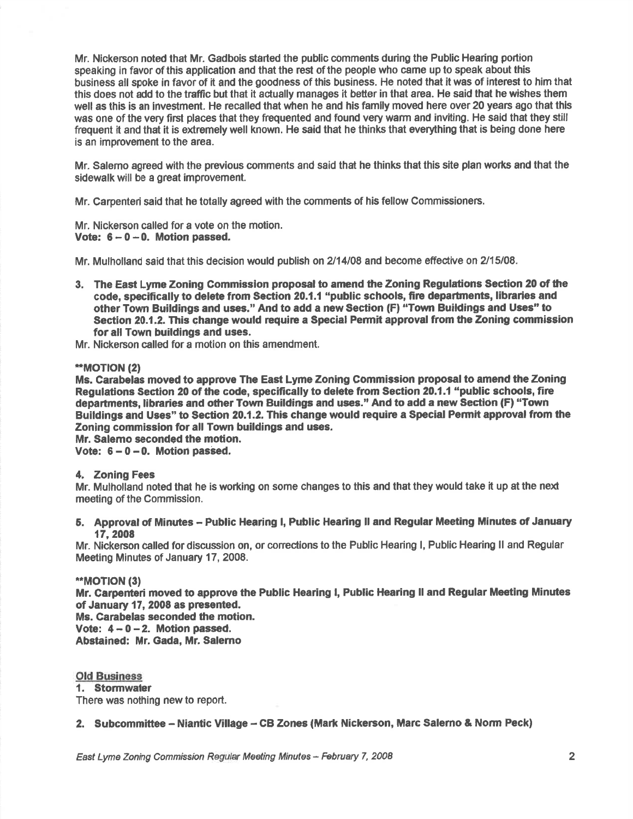Mr. Nickerson noted that Mr. Gadbois started the public comments during the Public Hearing portion speaking in favor of this application and that the rest of the people who came up to speak about this business all spoke in favor of it and the goodness of this business. He noted that it was of interest to him that this does not add to the traffic but that it actually manages it better in that area. He said that he wishes them well as this is an investment. He recalled that when he and his family moved here over 20 years ago that this was one of the very first places that they frequented and found very warm and inviting. He said that they still frequent it and that it is extremely well known, He said that he thinks that everything that is being done here is an improvement to the area.

Mr. Salemo agreed with the previous comments and said that he thinks that this site plan works end that the sidewalk will be a great improvement.

Mr. Carpenteri said that he totally agreed with the comments of his fellow Commissioners.

Mr. Nickerson called for a vote on the motion. Vote:  $6 - 0 - 0$ . Motion passed.

Mr. Mulholland said that this decision would publish on 2/14/08 and become effective on 2/15/08.

3. The East Lyme Zoning Gommission proposal to amend the Zoning Regulations Section 20 of the code, specifically to delete from Section 20.1.1 "public schools, fire departments, libraries and other Town Buildings and uses." And to add a new Section (F) "Town Buildings and Uses" to Section 20.1.2. This change would require a Special Permit approval from the Zoning commission forall Town buildings and uses.

Mr. Nickerson called for a motion on this amendment.

## \*MOT|ON (2)

Ms. Carabelas moved to approve The East Lyme Zoning Commission proposal to amend the Zoning Regulations Section 20 of the code, specifically to delete from Section 20.1.1 "public schools, fire departments, libraries and other Town Buildings and uses." And to add a new Section (F) "Town Buildings and Uses" to Section 20.1.2. This change would require a Special Permit approval from the Zoning commission forall Town buildings and uses.

Mr. Salemo seconded the motion.

Vote:  $6 - 0 - 0$ . Motion passed.

## 4, Zoning Fees

Mr. Mulholland noted that he is working on some changes to this and that they would take it up at the next meeting of the Commlssion.

## 5. Approval of Minutes - Public Hearing l, Public Heafing ll and Regular Meeting Minutes of January 17,2009

Mr. Nickerson called for discussion on, or corrections to the Public Hearing I, Public Hearing II and Regular Meeting Minutes of January 17, 2008.

## \*\*MOTION (3)

Mr. Carpenteri moved to approve the Public Hearing I, Public Hearing II and Regular Meeting Minutes of January 17, 2008 as presented.

Ms. Carabelas seconded the motion.

Vote:  $4 - 0 - 2$ . Motion passed.

Abstained: Mr. Gada, Mr. Salerno

## Old Business

1. Stormwater

There was nothing new to report.

## 2. Subcommittee – Niantic Village – CB Zones (Mark Nickerson, Marc Salerno & Norm Peck)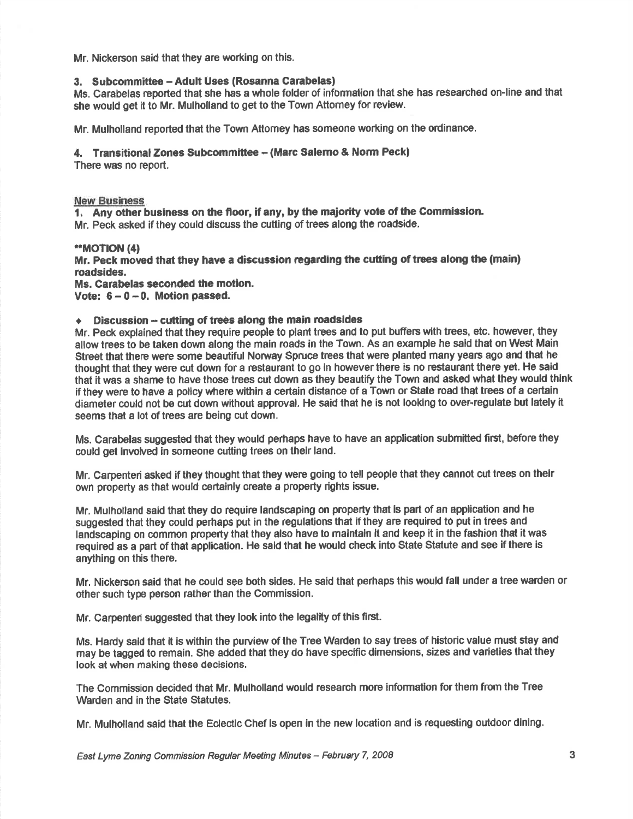Mr. Nickerson said that they are working on this.

## 3. Subcommittee - Adult Uses (Rosanna Carabelas)

Ms. Carabelas reported that she has a whole folder of informetion that she has researched on-line and that she would get it to Mr. Mulholland to get to the Town Attorney for review.

Mr. Mulholland reported that the Town Attomey has someone working on the ordinance.

## 4. Transitional Zones Subcommittee – (Marc Salemo & Norm Peck)

There was no report.

#### **New Business**

l, Any other business on the floor, if any, by the maiority vote of the Commieslon. Mr. Peck asked if they could discuss the cutting of trees along the roadsido.

## \*MOT|ON (4)

Mr. Peck moved that they have a discussion regarding the cutting of trees along the (main) roadsides.

Ms. Carabelas seconded the motion.

Vote:  $6 - 0 - 0$ . Motion passed.

## $\div$  Discussion - cutting of trees along the main roadsides

Mr. Peck explained that they require people to plant trees and to put buffers with trees, etc. however, they allow trees to be taken down along the main roads in the Town. As an example he said that on West Main Street that there were some beautiful Norway Spruce trees that were planted many years ago and that he thought that they were cut down for a restaurant to go in however there is no restaurant there yet. He said that it was a shame to have those trees cut down as they beautify the Town and asked what they would think if they were to have a policy where within a certain distance of a Town or State road that trees of a certain diameter could not be cut down without approval. He said that he is not looking io over-regulate but lately it seems that a lot of trees are being cut down.

Ms. Carabelas suggested that they would perhaps have to have an application submitted first, before they could get involved in someone cutting trees on their land.

Mr. Carpenteri asked if they thought that they were going to tell people that they cannot cut trees on their own property as that would certainly create a property rights issue.

Mr. Mulholland said that they do require landscaping on property that is part of an application and he suggested that they could perhaps put in the regulations that if they are required to put in trees and landscaping on common property that they also have to maintain it and keep it in the fashion that it was required as a part of that application. He said that he would check into State Statute and see if there is anything on this there.

Mr. Nickerson said that he could see both sides. He said that perhaps this would fall under a tree warden or other such type person rather than the Commission.

Mr. Carpenteri suggested that they look into the legality of this first.

Ms. Hardy said that it is withln the purview of the Tree Warden to say trees of historicvalue must stay and may be tagged to remain. She added that they do have specific dimensions, sizes and varieties that they look at when making these decisions,

The Commission decided that Mr. Mulholland would research more information forthem from the Tree Warden and in the State Statutes.

Mr. Mulholland said that the Eclectic Ghef is open in the new location and is requesting outdoor dining.